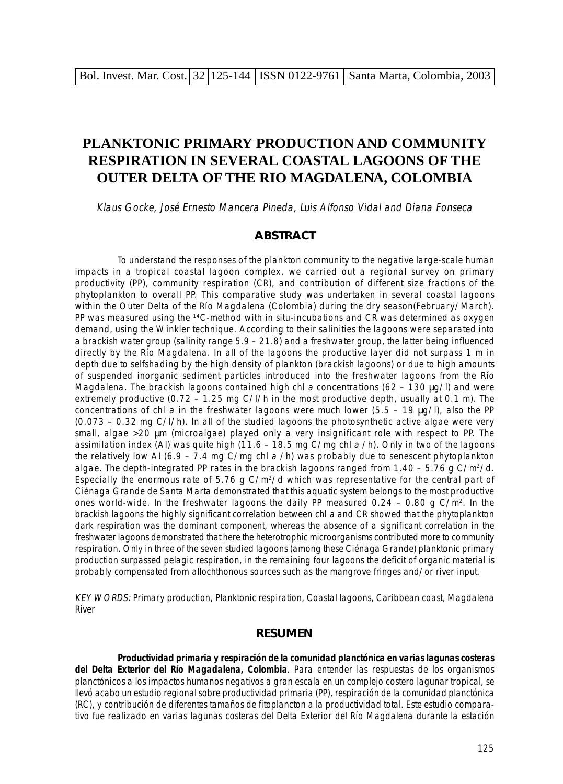# **PLANKTONIC PRIMARY PRODUCTION AND COMMUNITY RESPIRATION IN SEVERAL COASTAL LAGOONS OF THE OUTER DELTA OF THE RIO MAGDALENA, COLOMBIA**

Klaus Gocke, José Ernesto Mancera Pineda, Luis Alfonso Vidal and Diana Fonseca

### **ABSTRACT**

To understand the responses of the plankton community to the negative large-scale human impacts in a tropical coastal lagoon complex, we carried out a regional survey on primary productivity (PP), community respiration (CR), and contribution of different size fractions of the phytoplankton to overall PP. This comparative study was undertaken in several coastal lagoons within the Outer Delta of the Río Magdalena (Colombia) during the dry season(February/March). PP was measured using the <sup>14</sup>C-method with in situ-incubations and CR was determined as oxygen demand, using the Winkler technique. According to their salinities the lagoons were separated into a brackish water group (salinity range 5.9 – 21.8) and a freshwater group, the latter being influenced directly by the Río Magdalena. In all of the lagoons the productive layer did not surpass 1 m in depth due to selfshading by the high density of plankton (brackish lagoons) or due to high amounts of suspended inorganic sediment particles introduced into the freshwater lagoons from the Río Magdalena. The brackish lagoons contained high chl a concentrations (62 – 130  $\mu$ g/l) and were extremely productive (0.72 – 1.25 mg C/l/h in the most productive depth, usually at 0.1 m). The concentrations of chl a in the freshwater lagoons were much lower (5.5 – 19  $\mu$ g/l), also the PP (0.073 – 0.32 mg C/l/h). In all of the studied lagoons the photosynthetic active algae were very small, algae >20 µm (microalgae) played only a very insignificant role with respect to PP. The assimilation index (AI) was quite high (11.6 – 18.5 mg C/mg chl  $a$  /h). Only in two of the lagoons the relatively low AI (6.9 – 7.4 mg C/mg chl a /h) was probably due to senescent phytoplankton algae. The depth-integrated PP rates in the brackish lagoons ranged from  $1.40 - 5.76$  g C/m<sup>2</sup>/d. Especially the enormous rate of 5.76 g C/m<sup>2</sup>/d which was representative for the central part of Ciénaga Grande de Santa Marta demonstrated that this aquatic system belongs to the most productive ones world-wide. In the freshwater lagoons the daily PP measured  $0.24 - 0.80$  g C/m<sup>2</sup>. In the brackish lagoons the highly significant correlation between chl a and CR showed that the phytoplankton dark respiration was the dominant component, whereas the absence of a significant correlation in the freshwater lagoons demonstrated that here the heterotrophic microorganisms contributed more to community respiration. Only in three of the seven studied lagoons (among these Ciénaga Grande) planktonic primary production surpassed pelagic respiration, in the remaining four lagoons the deficit of organic material is probably compensated from allochthonous sources such as the mangrove fringes and/or river input.

KEY WORDS: Primary production, Planktonic respiration, Coastal lagoons, Caribbean coast, Magdalena River

#### **RESUMEN**

**Productividad primaria y respiración de la comunidad planctónica en varias lagunas costeras del Delta Exterior del Río Magadalena, Colombia**. Para entender las respuestas de los organismos planctónicos a los impactos humanos negativos a gran escala en un complejo costero lagunar tropical, se llevó acabo un estudio regional sobre productividad primaria (PP), respiración de la comunidad planctónica (RC), y contribución de diferentes tamaños de fitoplancton a la productividad total. Este estudio comparativo fue realizado en varias lagunas costeras del Delta Exterior del Río Magdalena durante la estación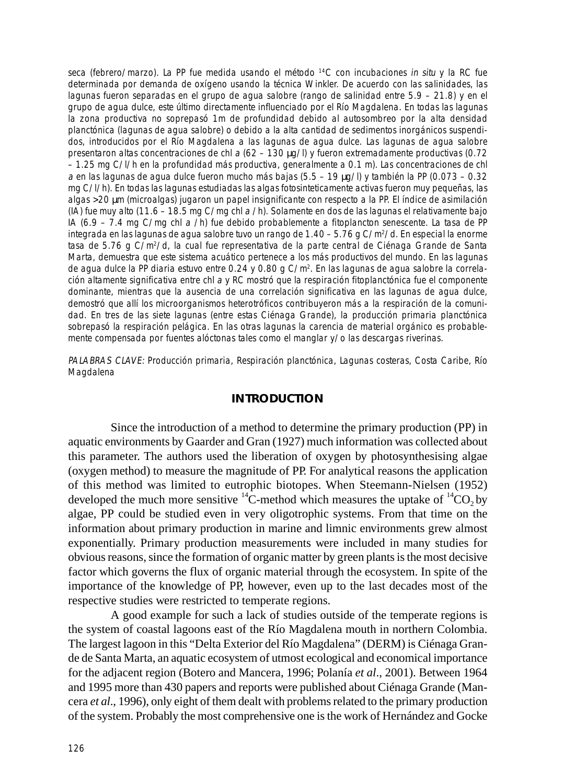seca (febrero/marzo). La PP fue medida usando el método <sup>14</sup>C con incubaciones in situ y la RC fue determinada por demanda de oxígeno usando la técnica Winkler. De acuerdo con las salinidades, las lagunas fueron separadas en el grupo de agua salobre (rango de salinidad entre 5.9 – 21.8) y en el grupo de agua dulce, este último directamente influenciado por el Río Magdalena. En todas las lagunas la zona productiva no soprepasó 1m de profundidad debido al autosombreo por la alta densidad planctónica (lagunas de agua salobre) o debido a la alta cantidad de sedimentos inorgánicos suspendidos, introducidos por el Río Magdalena a las lagunas de agua dulce. Las lagunas de agua salobre presentaron altas concentraciones de chl a (62 – 130 µg/l) y fueron extremadamente productivas (0.72 – 1.25 mg C/l/h en la profundidad más productiva, generalmente a 0.1 m). Las concentraciones de chl a en las lagunas de agua dulce fueron mucho más bajas (5.5 – 19 µg/l) y también la PP (0.073 – 0.32 mg C/l/h). En todas las lagunas estudiadas las algas fotosinteticamente activas fueron muy pequeñas, las algas >20 µm (microalgas) jugaron un papel insignificante con respecto a la PP. El índice de asimilación (IA) fue muy alto (11.6 – 18.5 mg C/mg chl a /h). Solamente en dos de las lagunas el relativamente bajo IA (6.9 – 7.4 mg C/mg chl a /h) fue debido probablemente a fitoplancton senescente. La tasa de PP integrada en las lagunas de agua salobre tuvo un rango de 1.40 – 5.76 g C/m<sup>2</sup>/d. En especial la enorme tasa de 5.76 g C/m<sup>2</sup>/d, la cual fue representativa de la parte central de Ciénaga Grande de Santa Marta, demuestra que este sistema acuático pertenece a los más productivos del mundo. En las lagunas de agua dulce la PP diaria estuvo entre 0.24 y 0.80 g C/m2. En las lagunas de agua salobre la correlación altamente significativa entre chl a y RC mostró que la respiración fitoplanctónica fue el componente dominante, mientras que la ausencia de una correlación significativa en las lagunas de agua dulce, demostró que allí los microorganismos heterotróficos contribuyeron más a la respiración de la comunidad. En tres de las siete lagunas (entre estas Ciénaga Grande), la producción primaria planctónica sobrepasó la respiración pelágica. En las otras lagunas la carencia de material orgánico es probablemente compensada por fuentes alóctonas tales como el manglar y/o las descargas riverinas.

PALABRAS CLAVE: Producción primaria, Respiración planctónica, Lagunas costeras, Costa Caribe, Río Magdalena

# **INTRODUCTION**

Since the introduction of a method to determine the primary production (PP) in aquatic environments by Gaarder and Gran (1927) much information was collected about this parameter. The authors used the liberation of oxygen by photosynthesising algae (oxygen method) to measure the magnitude of PP. For analytical reasons the application of this method was limited to eutrophic biotopes. When Steemann-Nielsen (1952) developed the much more sensitive  ${}^{14}C$ -method which measures the uptake of  ${}^{14}CO$ , by algae, PP could be studied even in very oligotrophic systems. From that time on the information about primary production in marine and limnic environments grew almost exponentially. Primary production measurements were included in many studies for obvious reasons, since the formation of organic matter by green plants is the most decisive factor which governs the flux of organic material through the ecosystem. In spite of the importance of the knowledge of PP, however, even up to the last decades most of the respective studies were restricted to temperate regions.

A good example for such a lack of studies outside of the temperate regions is the system of coastal lagoons east of the Río Magdalena mouth in northern Colombia. The largest lagoon in this "Delta Exterior del Río Magdalena" (DERM) is Ciénaga Grande de Santa Marta, an aquatic ecosystem of utmost ecological and economical importance for the adjacent region (Botero and Mancera, 1996; Polanía *et al*., 2001). Between 1964 and 1995 more than 430 papers and reports were published about Ciénaga Grande (Mancera *et al*., 1996), only eight of them dealt with problems related to the primary production of the system. Probably the most comprehensive one is the work of Hernández and Gocke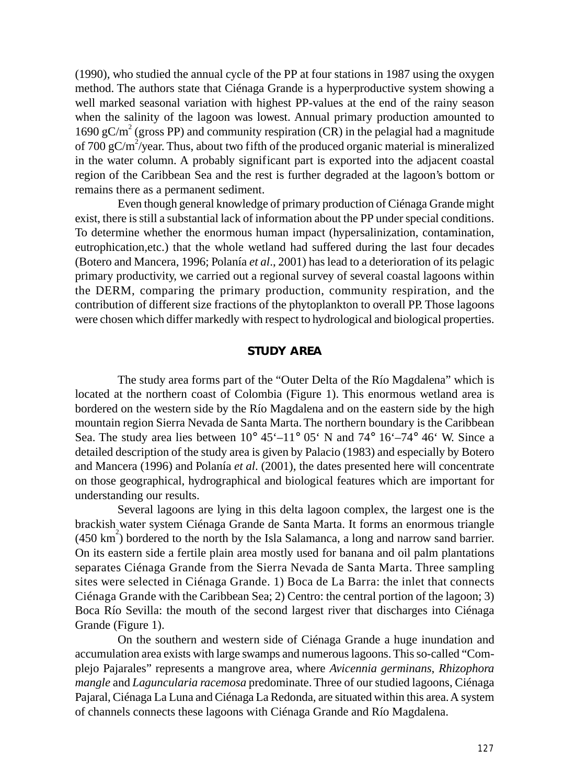(1990), who studied the annual cycle of the PP at four stations in 1987 using the oxygen method. The authors state that Ciénaga Grande is a hyperproductive system showing a well marked seasonal variation with highest PP-values at the end of the rainy season when the salinity of the lagoon was lowest. Annual primary production amounted to 1690  $gC/m^2$  (gross PP) and community respiration (CR) in the pelagial had a magnitude of 700 gC/m<sup>2</sup>/year. Thus, about two fifth of the produced organic material is mineralized in the water column. A probably significant part is exported into the adjacent coastal region of the Caribbean Sea and the rest is further degraded at the lagoon's bottom or remains there as a permanent sediment.

Even though general knowledge of primary production of Ciénaga Grande might exist, there is still a substantial lack of information about the PP under special conditions. To determine whether the enormous human impact (hypersalinization, contamination, eutrophication,etc.) that the whole wetland had suffered during the last four decades (Botero and Mancera, 1996; Polanía *et al*., 2001) has lead to a deterioration of its pelagic primary productivity, we carried out a regional survey of several coastal lagoons within the DERM, comparing the primary production, community respiration, and the contribution of different size fractions of the phytoplankton to overall PP. Those lagoons were chosen which differ markedly with respect to hydrological and biological properties.

# **STUDY AREA**

The study area forms part of the "Outer Delta of the Río Magdalena" which is located at the northern coast of Colombia (Figure 1). This enormous wetland area is bordered on the western side by the Río Magdalena and on the eastern side by the high mountain region Sierra Nevada de Santa Marta. The northern boundary is the Caribbean Sea. The study area lies between  $10^{\circ}$  45'–11° 05' N and 74° 16'–74° 46' W. Since a detailed description of the study area is given by Palacio (1983) and especially by Botero and Mancera (1996) and Polanía *et al*. (2001), the dates presented here will concentrate on those geographical, hydrographical and biological features which are important for understanding our results.

Several lagoons are lying in this delta lagoon complex, the largest one is the brackish water system Ciénaga Grande de Santa Marta. It forms an enormous triangle  $(450 \text{ km}^2)$  bordered to the north by the Isla Salamanca, a long and narrow sand barrier. On its eastern side a fertile plain area mostly used for banana and oil palm plantations separates Ciénaga Grande from the Sierra Nevada de Santa Marta. Three sampling sites were selected in Ciénaga Grande. 1) Boca de La Barra: the inlet that connects Ciénaga Grande with the Caribbean Sea; 2) Centro: the central portion of the lagoon; 3) Boca Río Sevilla: the mouth of the second largest river that discharges into Ciénaga Grande (Figure 1).

On the southern and western side of Ciénaga Grande a huge inundation and accumulation area exists with large swamps and numerous lagoons. This so-called "Complejo Pajarales" represents a mangrove area, where *Avicennia germinans*, *Rhizophora mangle* and *Laguncularia racemosa* predominate. Three of our studied lagoons, Ciénaga Pajaral, Ciénaga La Luna and Ciénaga La Redonda, are situated within this area. A system of channels connects these lagoons with Ciénaga Grande and Río Magdalena.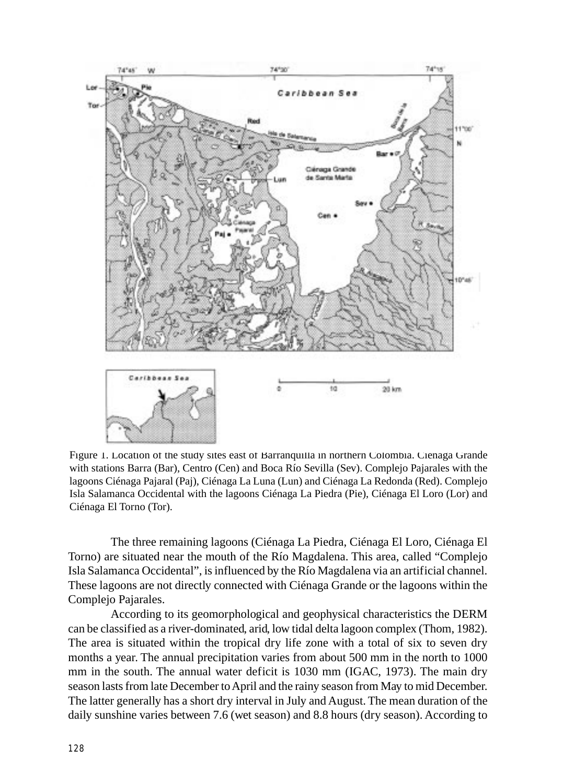

Figure 1. Location of the study sites east of Barranquilla in northern Colombia. Ciénaga Grande with stations Barra (Bar), Centro (Cen) and Boca Río Sevilla (Sev). Complejo Pajarales with the lagoons Ciénaga Pajaral (Paj), Ciénaga La Luna (Lun) and Ciénaga La Redonda (Red). Complejo Isla Salamanca Occidental with the lagoons Ciénaga La Piedra (Pie), Ciénaga El Loro (Lor) and Ciénaga El Torno (Tor).

The three remaining lagoons (Ciénaga La Piedra, Ciénaga El Loro, Ciénaga El Torno) are situated near the mouth of the Río Magdalena. This area, called "Complejo Isla Salamanca Occidental", is influenced by the Río Magdalena via an artificial channel. These lagoons are not directly connected with Ciénaga Grande or the lagoons within the Complejo Pajarales.

According to its geomorphological and geophysical characteristics the DERM can be classified as a river-dominated, arid, low tidal delta lagoon complex (Thom, 1982). The area is situated within the tropical dry life zone with a total of six to seven dry months a year. The annual precipitation varies from about 500 mm in the north to 1000 mm in the south. The annual water deficit is 1030 mm (IGAC, 1973). The main dry season lasts from late December to April and the rainy season from May to mid December. The latter generally has a short dry interval in July and August. The mean duration of the daily sunshine varies between 7.6 (wet season) and 8.8 hours (dry season). According to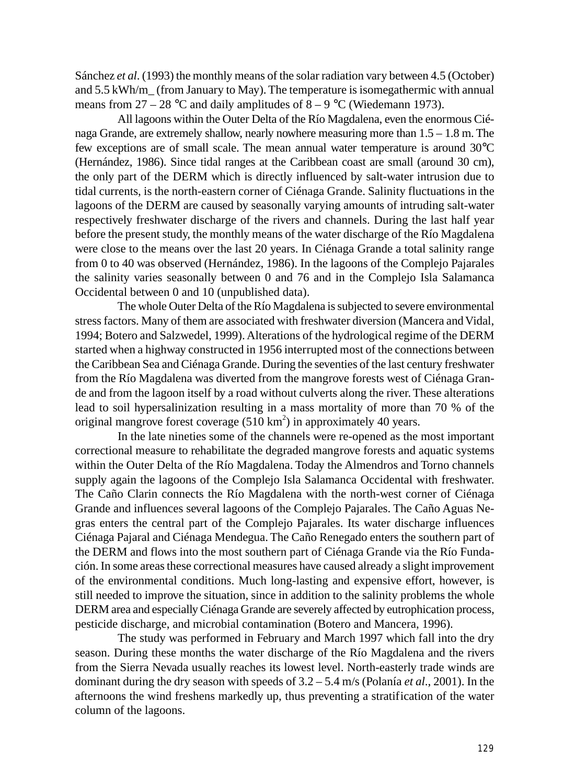Sánchez *et al*. (1993) the monthly means of the solar radiation vary between 4.5 (October) and 5.5 kWh/m\_ (from January to May). The temperature is isomegathermic with annual means from  $27 - 28$  °C and daily amplitudes of  $8 - 9$  °C (Wiedemann 1973).

All lagoons within the Outer Delta of the Río Magdalena, even the enormous Ciénaga Grande, are extremely shallow, nearly nowhere measuring more than 1.5 – 1.8 m. The few exceptions are of small scale. The mean annual water temperature is around 30°C (Hernández, 1986). Since tidal ranges at the Caribbean coast are small (around 30 cm), the only part of the DERM which is directly influenced by salt-water intrusion due to tidal currents, is the north-eastern corner of Ciénaga Grande. Salinity fluctuations in the lagoons of the DERM are caused by seasonally varying amounts of intruding salt-water respectively freshwater discharge of the rivers and channels. During the last half year before the present study, the monthly means of the water discharge of the Río Magdalena were close to the means over the last 20 years. In Ciénaga Grande a total salinity range from 0 to 40 was observed (Hernández, 1986). In the lagoons of the Complejo Pajarales the salinity varies seasonally between 0 and 76 and in the Complejo Isla Salamanca Occidental between 0 and 10 (unpublished data).

The whole Outer Delta of the Río Magdalena is subjected to severe environmental stress factors. Many of them are associated with freshwater diversion (Mancera and Vidal, 1994; Botero and Salzwedel, 1999). Alterations of the hydrological regime of the DERM started when a highway constructed in 1956 interrupted most of the connections between the Caribbean Sea and Ciénaga Grande. During the seventies of the last century freshwater from the Río Magdalena was diverted from the mangrove forests west of Ciénaga Grande and from the lagoon itself by a road without culverts along the river. These alterations lead to soil hypersalinization resulting in a mass mortality of more than 70 % of the original mangrove forest coverage  $(510 \text{ km}^2)$  in approximately 40 years.

In the late nineties some of the channels were re-opened as the most important correctional measure to rehabilitate the degraded mangrove forests and aquatic systems within the Outer Delta of the Río Magdalena. Today the Almendros and Torno channels supply again the lagoons of the Complejo Isla Salamanca Occidental with freshwater. The Caño Clarin connects the Río Magdalena with the north-west corner of Ciénaga Grande and influences several lagoons of the Complejo Pajarales. The Caño Aguas Negras enters the central part of the Complejo Pajarales. Its water discharge influences Ciénaga Pajaral and Ciénaga Mendegua. The Caño Renegado enters the southern part of the DERM and flows into the most southern part of Ciénaga Grande via the Río Fundación. In some areas these correctional measures have caused already a slight improvement of the environmental conditions. Much long-lasting and expensive effort, however, is still needed to improve the situation, since in addition to the salinity problems the whole DERM area and especially Ciénaga Grande are severely affected by eutrophication process, pesticide discharge, and microbial contamination (Botero and Mancera, 1996).

The study was performed in February and March 1997 which fall into the dry season. During these months the water discharge of the Río Magdalena and the rivers from the Sierra Nevada usually reaches its lowest level. North-easterly trade winds are dominant during the dry season with speeds of 3.2 – 5.4 m/s (Polanía *et al*., 2001). In the afternoons the wind freshens markedly up, thus preventing a stratification of the water column of the lagoons.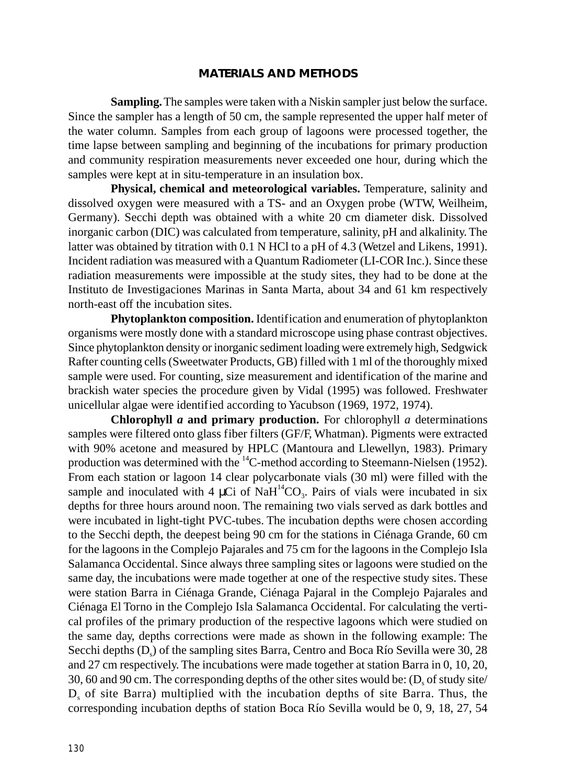#### **MATERIALS AND METHODS**

**Sampling.** The samples were taken with a Niskin sampler just below the surface. Since the sampler has a length of 50 cm, the sample represented the upper half meter of the water column. Samples from each group of lagoons were processed together, the time lapse between sampling and beginning of the incubations for primary production and community respiration measurements never exceeded one hour, during which the samples were kept at in situ-temperature in an insulation box.

**Physical, chemical and meteorological variables.** Temperature, salinity and dissolved oxygen were measured with a TS- and an Oxygen probe (WTW, Weilheim, Germany). Secchi depth was obtained with a white 20 cm diameter disk. Dissolved inorganic carbon (DIC) was calculated from temperature, salinity, pH and alkalinity. The latter was obtained by titration with 0.1 N HCl to a pH of 4.3 (Wetzel and Likens, 1991). Incident radiation was measured with a Quantum Radiometer (LI-COR Inc.). Since these radiation measurements were impossible at the study sites, they had to be done at the Instituto de Investigaciones Marinas in Santa Marta, about 34 and 61 km respectively north-east off the incubation sites.

**Phytoplankton composition.** Identification and enumeration of phytoplankton organisms were mostly done with a standard microscope using phase contrast objectives. Since phytoplankton density or inorganic sediment loading were extremely high, Sedgwick Rafter counting cells (Sweetwater Products, GB) filled with 1 ml of the thoroughly mixed sample were used. For counting, size measurement and identification of the marine and brackish water species the procedure given by Vidal (1995) was followed. Freshwater unicellular algae were identified according to Yacubson (1969, 1972, 1974).

**Chlorophyll** *a* **and primary production.** For chlorophyll *a* determinations samples were filtered onto glass fiber filters (GF/F, Whatman). Pigments were extracted with 90% acetone and measured by HPLC (Mantoura and Llewellyn, 1983). Primary production was determined with the 14C-method according to Steemann-Nielsen (1952). From each station or lagoon 14 clear polycarbonate vials (30 ml) were filled with the sample and inoculated with 4  $\mu$ Ci of NaH<sup>14</sup>CO<sub>3</sub>. Pairs of vials were incubated in six depths for three hours around noon. The remaining two vials served as dark bottles and were incubated in light-tight PVC-tubes. The incubation depths were chosen according to the Secchi depth, the deepest being 90 cm for the stations in Ciénaga Grande, 60 cm for the lagoons in the Complejo Pajarales and 75 cm for the lagoons in the Complejo Isla Salamanca Occidental. Since always three sampling sites or lagoons were studied on the same day, the incubations were made together at one of the respective study sites. These were station Barra in Ciénaga Grande, Ciénaga Pajaral in the Complejo Pajarales and Ciénaga El Torno in the Complejo Isla Salamanca Occidental. For calculating the vertical profiles of the primary production of the respective lagoons which were studied on the same day, depths corrections were made as shown in the following example: The Secchi depths  $(D<sub>s</sub>)$  of the sampling sites Barra, Centro and Boca Río Sevilla were 30, 28 and 27 cm respectively. The incubations were made together at station Barra in 0, 10, 20, 30, 60 and 90 cm. The corresponding depths of the other sites would be:  $(D<sub>c</sub>$  of study site/ D<sub>s</sub> of site Barra) multiplied with the incubation depths of site Barra. Thus, the corresponding incubation depths of station Boca Río Sevilla would be 0, 9, 18, 27, 54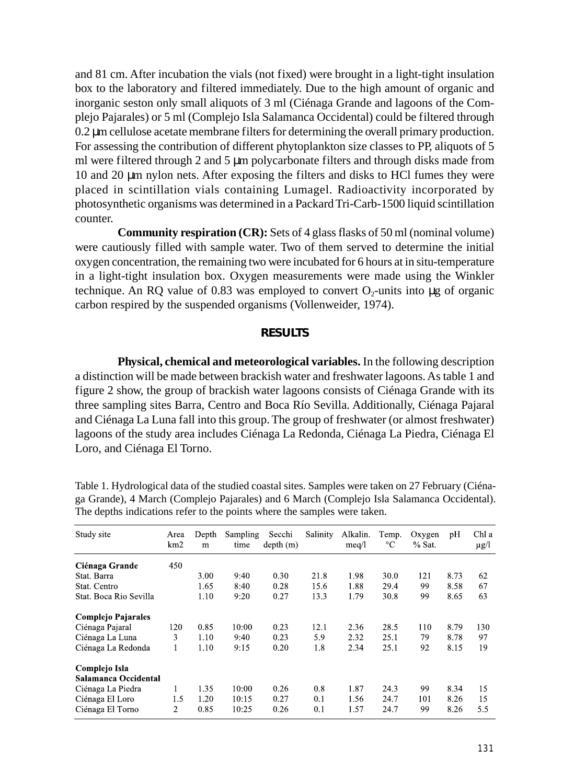and 81 cm. After incubation the vials (not fixed) were brought in a light-tight insulation box to the laboratory and filtered immediately. Due to the high amount of organic and inorganic seston only small aliquots of 3 ml (Ciénaga Grande and lagoons of the Complejo Pajarales) or 5 ml (Complejo Isla Salamanca Occidental) could be filtered through 0.2 µm cellulose acetate membrane filters for determining the overall primary production. For assessing the contribution of different phytoplankton size classes to PP, aliquots of 5 ml were filtered through 2 and 5  $\mu$ m polycarbonate filters and through disks made from 10 and 20 µm nylon nets. After exposing the filters and disks to HCl fumes they were placed in scintillation vials containing Lumagel. Radioactivity incorporated by photosynthetic organisms was determined in a Packard Tri-Carb-1500 liquid scintillation counter.

**Community respiration (CR):** Sets of 4 glass flasks of 50 ml (nominal volume) were cautiously filled with sample water. Two of them served to determine the initial oxygen concentration, the remaining two were incubated for 6 hours at in situ-temperature in a light-tight insulation box. Oxygen measurements were made using the Winkler technique. An RQ value of 0.83 was employed to convert  $O_2$ -units into µg of organic carbon respired by the suspended organisms (Vollenweider, 1974).

# **RESULTS**

**Physical, chemical and meteorological variables.** In the following description a distinction will be made between brackish water and freshwater lagoons. As table 1 and figure 2 show, the group of brackish water lagoons consists of Ciénaga Grande with its three sampling sites Barra, Centro and Boca Río Sevilla. Additionally, Ciénaga Pajaral and Ciénaga La Luna fall into this group. The group of freshwater (or almost freshwater) lagoons of the study area includes Ciénaga La Redonda, Ciénaga La Piedra, Ciénaga El Loro, and Ciénaga El Torno.

| Study site                | Area<br>km2 | Depth<br>m | Sampling<br>time | Secchi<br>depth(m) | Salinity | Alkalin.<br>meq/l | Temp.<br>°C | Oxygen<br>$%$ Sat. | pH   | Chl a<br>μg/l |
|---------------------------|-------------|------------|------------------|--------------------|----------|-------------------|-------------|--------------------|------|---------------|
| Ciénaga Grande            | 450         |            |                  |                    |          |                   |             |                    |      |               |
| Stat. Barra               |             | 3.00       | 9:40             | 0.30               | 21.8     | 1.98              | 30.0        | 121                | 8.73 | 62            |
| Stat. Centro              |             | 1.65       | 8:40             | 0.28               | 15.6     | 1.88              | 29.4        | 99                 | 8.58 | 67            |
| Stat. Boca Rio Sevilla    |             | 1.10       | 9:20             | 0.27               | 13.3     | 1.79              | 30.8        | 99                 | 8.65 | 63            |
| <b>Complejo Pajarales</b> |             |            |                  |                    |          |                   |             |                    |      |               |
| Ciénaga Pajaral           | 120         | 0.85       | 10:00            | 0.23               | 12.1     | 2.36              | 28.5        | 110                | 8.79 | 130           |
| Ciénaga La Luna           | 3           | 1.10       | 9:40             | 0.23               | 5.9      | 2.32              | 25.1        | 79                 | 8.78 | 97            |
| Ciénaga La Redonda        |             | 1.10       | 9:15             | 0.20               | 1.8      | 2.34              | 25.1        | 92                 | 8.15 | 19            |
| Complejo Isla             |             |            |                  |                    |          |                   |             |                    |      |               |
| Salamanca Occidental      |             |            |                  |                    |          |                   |             |                    |      |               |
| Ciénaga La Piedra         |             | 1.35       | 10:00            | 0.26               | 0.8      | 1.87              | 24.3        | 99                 | 8.34 | 15            |
| Ciénaga El Loro           | 1.5         | 1.20       | 10:15            | 0.27               | 0.1      | 1.56              | 24.7        | 101                | 8.26 | 15            |
| Ciénaga El Torno          | 2           | 0.85       | 10:25            | 0.26               | 0.1      | 1.57              | 24.7        | 99                 | 8.26 | 5.5           |

Table 1. Hydrological data of the studied coastal sites. Samples were taken on 27 February (Ciénaga Grande), 4 March (Complejo Pajarales) and 6 March (Complejo Isla Salamanca Occidental). The depths indications refer to the points where the samples were taken.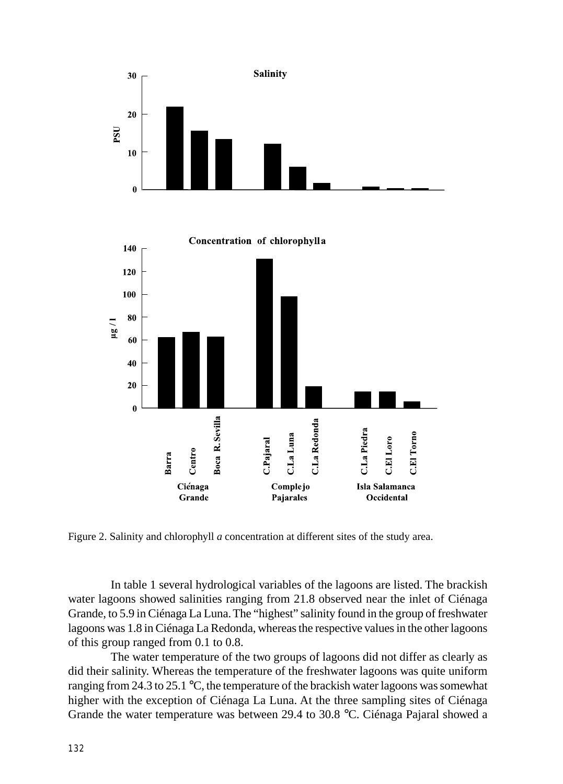



Figure 2. Salinity and chlorophyll *a* concentration at different sites of the study area.

In table 1 several hydrological variables of the lagoons are listed. The brackish water lagoons showed salinities ranging from 21.8 observed near the inlet of Ciénaga Grande, to 5.9 in Ciénaga La Luna. The "highest" salinity found in the group of freshwater lagoons was 1.8 in Ciénaga La Redonda, whereas the respective values in the other lagoons of this group ranged from 0.1 to 0.8.

The water temperature of the two groups of lagoons did not differ as clearly as did their salinity. Whereas the temperature of the freshwater lagoons was quite uniform ranging from 24.3 to 25.1 °C, the temperature of the brackish water lagoons was somewhat higher with the exception of Ciénaga La Luna. At the three sampling sites of Ciénaga Grande the water temperature was between 29.4 to 30.8 °C. Ciénaga Pajaral showed a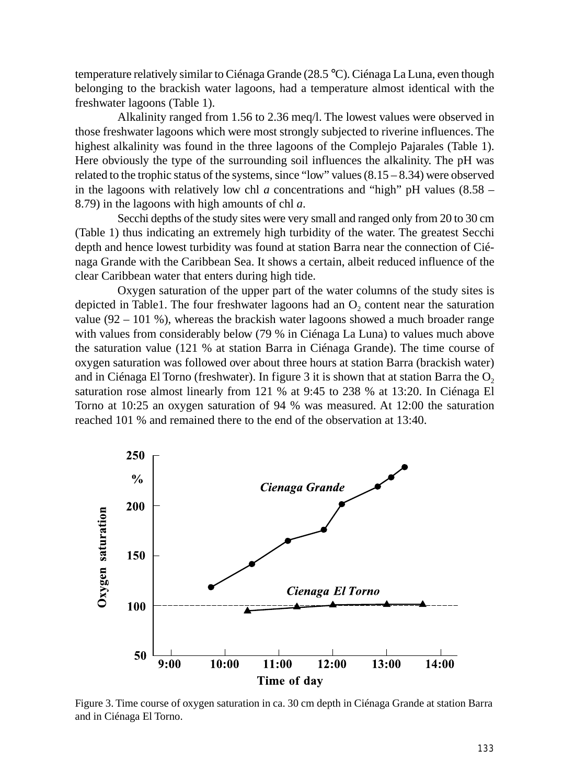temperature relatively similar to Ciénaga Grande (28.5 °C). Ciénaga La Luna, even though belonging to the brackish water lagoons, had a temperature almost identical with the freshwater lagoons (Table 1).

Alkalinity ranged from 1.56 to 2.36 meq/l. The lowest values were observed in those freshwater lagoons which were most strongly subjected to riverine influences. The highest alkalinity was found in the three lagoons of the Complejo Pajarales (Table 1). Here obviously the type of the surrounding soil influences the alkalinity. The pH was related to the trophic status of the systems, since "low" values  $(8.15 - 8.34)$  were observed in the lagoons with relatively low chl *a* concentrations and "high" pH values (8.58 – 8.79) in the lagoons with high amounts of chl *a*.

Secchi depths of the study sites were very small and ranged only from 20 to 30 cm (Table 1) thus indicating an extremely high turbidity of the water. The greatest Secchi depth and hence lowest turbidity was found at station Barra near the connection of Ciénaga Grande with the Caribbean Sea. It shows a certain, albeit reduced influence of the clear Caribbean water that enters during high tide.

Oxygen saturation of the upper part of the water columns of the study sites is depicted in Table1. The four freshwater lagoons had an  $O<sub>2</sub>$  content near the saturation value  $(92 - 101 \%)$ , whereas the brackish water lagoons showed a much broader range with values from considerably below (79 % in Ciénaga La Luna) to values much above the saturation value (121 % at station Barra in Ciénaga Grande). The time course of oxygen saturation was followed over about three hours at station Barra (brackish water) and in Ciénaga El Torno (freshwater). In figure  $3$  it is shown that at station Barra the  $O<sub>2</sub>$ saturation rose almost linearly from 121 % at 9:45 to 238 % at 13:20. In Ciénaga El Torno at 10:25 an oxygen saturation of 94 % was measured. At 12:00 the saturation reached 101 % and remained there to the end of the observation at 13:40.



Figure 3. Time course of oxygen saturation in ca. 30 cm depth in Ciénaga Grande at station Barra and in Ciénaga El Torno.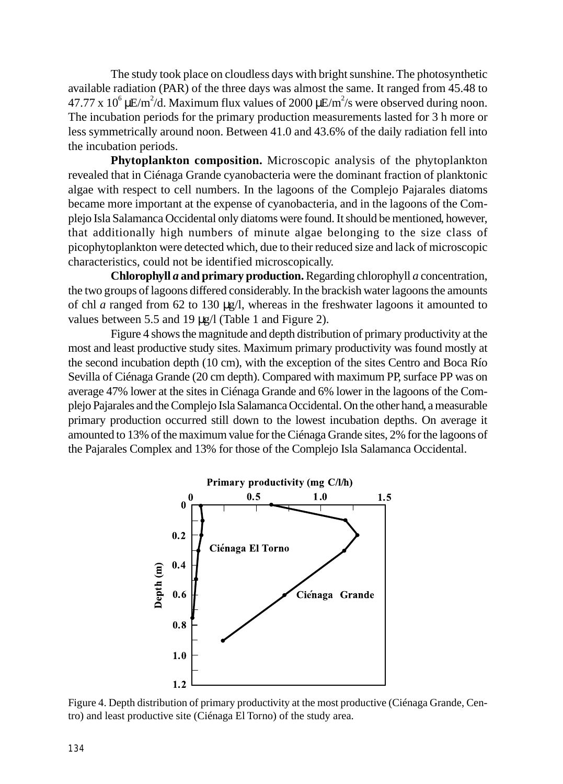The study took place on cloudless days with bright sunshine. The photosynthetic available radiation (PAR) of the three days was almost the same. It ranged from 45.48 to 47.77 x 10<sup>6</sup> µE/m<sup>2</sup>/d. Maximum flux values of 2000 µE/m<sup>2</sup>/s were observed during noon. The incubation periods for the primary production measurements lasted for 3 h more or less symmetrically around noon. Between 41.0 and 43.6% of the daily radiation fell into the incubation periods.

**Phytoplankton composition.** Microscopic analysis of the phytoplankton revealed that in Ciénaga Grande cyanobacteria were the dominant fraction of planktonic algae with respect to cell numbers. In the lagoons of the Complejo Pajarales diatoms became more important at the expense of cyanobacteria, and in the lagoons of the Complejo Isla Salamanca Occidental only diatoms were found. It should be mentioned, however, that additionally high numbers of minute algae belonging to the size class of picophytoplankton were detected which, due to their reduced size and lack of microscopic characteristics, could not be identified microscopically.

**Chlorophyll** *a* **and primary production.** Regarding chlorophyll *a* concentration, the two groups of lagoons differed considerably. In the brackish water lagoons the amounts of chl *a* ranged from 62 to 130 µg/l, whereas in the freshwater lagoons it amounted to values between 5.5 and 19 µg/l (Table 1 and Figure 2).

Figure 4 shows the magnitude and depth distribution of primary productivity at the most and least productive study sites. Maximum primary productivity was found mostly at the second incubation depth (10 cm), with the exception of the sites Centro and Boca Río Sevilla of Ciénaga Grande (20 cm depth). Compared with maximum PP, surface PP was on average 47% lower at the sites in Ciénaga Grande and 6% lower in the lagoons of the Complejo Pajarales and the Complejo Isla Salamanca Occidental. On the other hand, a measurable primary production occurred still down to the lowest incubation depths. On average it amounted to 13% of the maximum value for the Ciénaga Grande sites, 2% for the lagoons of the Pajarales Complex and 13% for those of the Complejo Isla Salamanca Occidental.



Figure 4. Depth distribution of primary productivity at the most productive (Ciénaga Grande, Centro) and least productive site (Ciénaga El Torno) of the study area.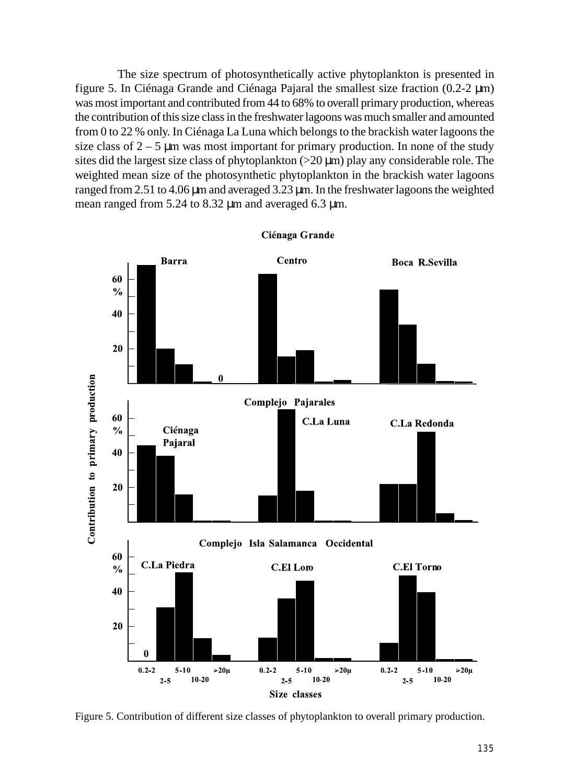The size spectrum of photosynthetically active phytoplankton is presented in figure 5. In Ciénaga Grande and Ciénaga Pajaral the smallest size fraction (0.2-2 µm) was most important and contributed from 44 to 68% to overall primary production, whereas the contribution of this size class in the freshwater lagoons was much smaller and amounted from 0 to 22 % only. In Ciénaga La Luna which belongs to the brackish water lagoons the size class of  $2 - 5$  µm was most important for primary production. In none of the study sites did the largest size class of phytoplankton  $(>20 \mu m)$  play any considerable role. The weighted mean size of the photosynthetic phytoplankton in the brackish water lagoons ranged from 2.51 to 4.06 µm and averaged 3.23 µm. In the freshwater lagoons the weighted mean ranged from 5.24 to 8.32  $\mu$ m and averaged 6.3  $\mu$ m.



Ciénaga Grande

Figure 5. Contribution of different size classes of phytoplankton to overall primary production.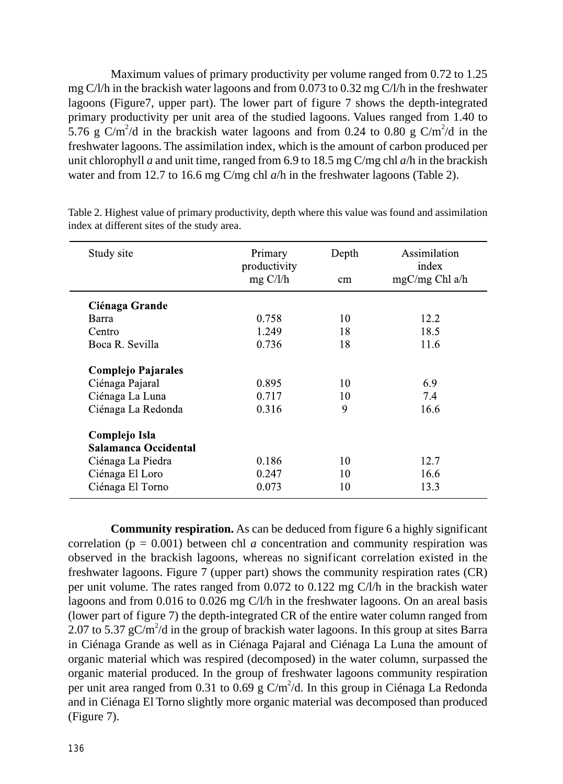Maximum values of primary productivity per volume ranged from 0.72 to 1.25 mg C/l/h in the brackish water lagoons and from 0.073 to 0.32 mg C/l/h in the freshwater lagoons (Figure7, upper part). The lower part of figure 7 shows the depth-integrated primary productivity per unit area of the studied lagoons. Values ranged from 1.40 to 5.76 g C/m<sup>2</sup>/d in the brackish water lagoons and from 0.24 to 0.80 g C/m<sup>2</sup>/d in the freshwater lagoons. The assimilation index, which is the amount of carbon produced per unit chlorophyll *a* and unit time, ranged from 6.9 to 18.5 mg C/mg chl *a*/h in the brackish water and from 12.7 to 16.6 mg C/mg chl *a*/h in the freshwater lagoons (Table 2).

| Study site                            | Primary<br>productivity<br>$mg \frac{C}{l}$ | Depth<br>cm. | Assimilation<br>index<br>$mgC/mg$ Chl a/h |
|---------------------------------------|---------------------------------------------|--------------|-------------------------------------------|
| Ciénaga Grande                        |                                             |              |                                           |
| Barra                                 | 0.758                                       | 10           | 12.2                                      |
| Centro                                | 1.249                                       | 18           | 18.5                                      |
| Boca R. Sevilla                       | 0.736                                       | 18           | 11.6                                      |
| Complejo Pajarales                    |                                             |              |                                           |
| Ciénaga Pajaral                       | 0.895                                       | 10           | 6.9                                       |
| Ciénaga La Luna                       | 0.717                                       | 10           | 7.4                                       |
| Ciénaga La Redonda                    | 0.316                                       | 9            | 16.6                                      |
| Complejo Isla<br>Salamanca Occidental |                                             |              |                                           |
| Ciénaga La Piedra                     | 0.186                                       | 10           | 12.7                                      |
| Ciénaga El Loro                       | 0.247                                       | 10           | 16.6                                      |
| Ciénaga El Torno                      | 0.073                                       | 10           | 13.3                                      |

Table 2. Highest value of primary productivity, depth where this value was found and assimilation index at different sites of the study area.

**Community respiration.** As can be deduced from figure 6 a highly significant correlation ( $p = 0.001$ ) between chl *a* concentration and community respiration was observed in the brackish lagoons, whereas no significant correlation existed in the freshwater lagoons. Figure 7 (upper part) shows the community respiration rates (CR) per unit volume. The rates ranged from 0.072 to 0.122 mg C/l/h in the brackish water lagoons and from 0.016 to 0.026 mg C/l/h in the freshwater lagoons. On an areal basis (lower part of figure 7) the depth-integrated CR of the entire water column ranged from 2.07 to 5.37  $gC/m^2/d$  in the group of brackish water lagoons. In this group at sites Barra in Ciénaga Grande as well as in Ciénaga Pajaral and Ciénaga La Luna the amount of organic material which was respired (decomposed) in the water column, surpassed the organic material produced. In the group of freshwater lagoons community respiration per unit area ranged from 0.31 to 0.69 g  $C/m^2/d$ . In this group in Ciénaga La Redonda and in Ciénaga El Torno slightly more organic material was decomposed than produced (Figure 7).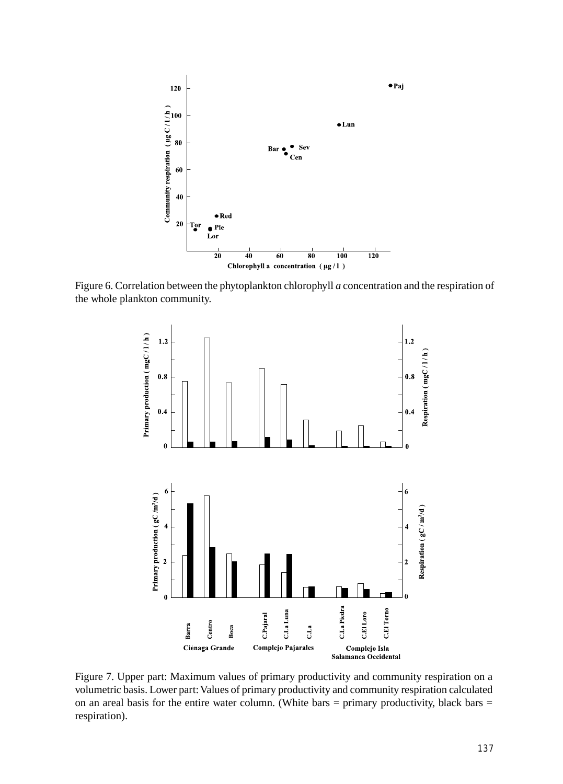

Figure 6. Correlation between the phytoplankton chlorophyll *a* concentration and the respiration of the whole plankton community.



Figure 7. Upper part: Maximum values of primary productivity and community respiration on a volumetric basis. Lower part: Values of primary productivity and community respiration calculated on an areal basis for the entire water column. (White bars  $=$  primary productivity, black bars  $=$ respiration).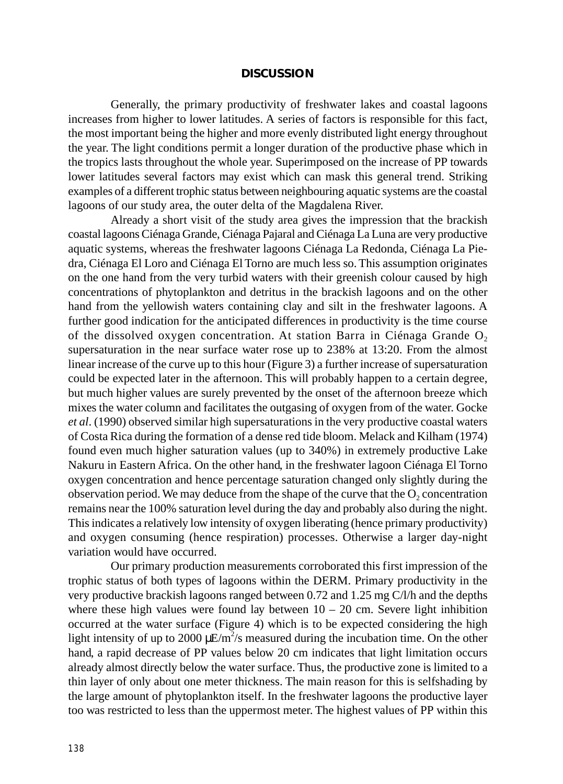#### **DISCUSSION**

Generally, the primary productivity of freshwater lakes and coastal lagoons increases from higher to lower latitudes. A series of factors is responsible for this fact, the most important being the higher and more evenly distributed light energy throughout the year. The light conditions permit a longer duration of the productive phase which in the tropics lasts throughout the whole year. Superimposed on the increase of PP towards lower latitudes several factors may exist which can mask this general trend. Striking examples of a different trophic status between neighbouring aquatic systems are the coastal lagoons of our study area, the outer delta of the Magdalena River.

Already a short visit of the study area gives the impression that the brackish coastal lagoons Ciénaga Grande, Ciénaga Pajaral and Ciénaga La Luna are very productive aquatic systems, whereas the freshwater lagoons Ciénaga La Redonda, Ciénaga La Piedra, Ciénaga El Loro and Ciénaga El Torno are much less so. This assumption originates on the one hand from the very turbid waters with their greenish colour caused by high concentrations of phytoplankton and detritus in the brackish lagoons and on the other hand from the yellowish waters containing clay and silt in the freshwater lagoons. A further good indication for the anticipated differences in productivity is the time course of the dissolved oxygen concentration. At station Barra in Ciénaga Grande  $O<sub>2</sub>$ supersaturation in the near surface water rose up to 238% at 13:20. From the almost linear increase of the curve up to this hour (Figure 3) a further increase of supersaturation could be expected later in the afternoon. This will probably happen to a certain degree, but much higher values are surely prevented by the onset of the afternoon breeze which mixes the water column and facilitates the outgasing of oxygen from of the water. Gocke *et al*. (1990) observed similar high supersaturations in the very productive coastal waters of Costa Rica during the formation of a dense red tide bloom. Melack and Kilham (1974) found even much higher saturation values (up to 340%) in extremely productive Lake Nakuru in Eastern Africa. On the other hand, in the freshwater lagoon Ciénaga El Torno oxygen concentration and hence percentage saturation changed only slightly during the observation period. We may deduce from the shape of the curve that the  $O_2$  concentration remains near the 100% saturation level during the day and probably also during the night. This indicates a relatively low intensity of oxygen liberating (hence primary productivity) and oxygen consuming (hence respiration) processes. Otherwise a larger day-night variation would have occurred.

Our primary production measurements corroborated this first impression of the trophic status of both types of lagoons within the DERM. Primary productivity in the very productive brackish lagoons ranged between 0.72 and 1.25 mg C/l/h and the depths where these high values were found lay between  $10 - 20$  cm. Severe light inhibition occurred at the water surface (Figure 4) which is to be expected considering the high light intensity of up to 2000  $\mu$ E/m<sup>2</sup>/s measured during the incubation time. On the other hand, a rapid decrease of PP values below 20 cm indicates that light limitation occurs already almost directly below the water surface. Thus, the productive zone is limited to a thin layer of only about one meter thickness. The main reason for this is selfshading by the large amount of phytoplankton itself. In the freshwater lagoons the productive layer too was restricted to less than the uppermost meter. The highest values of PP within this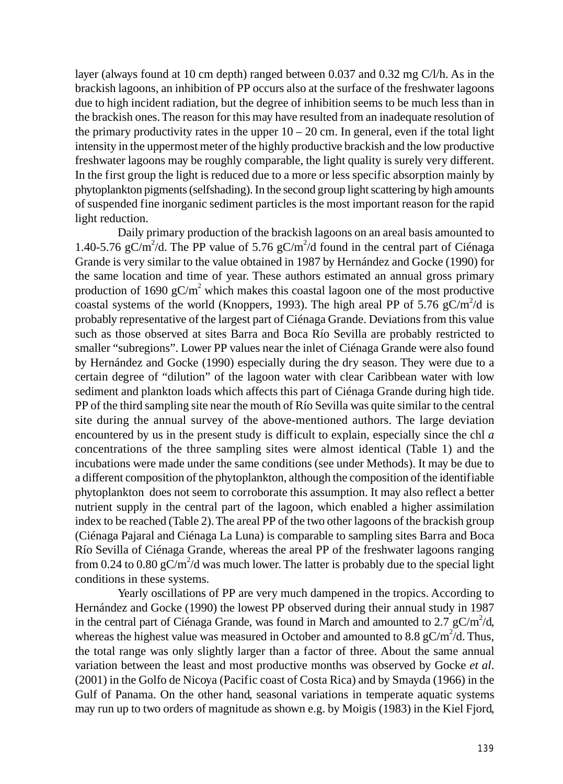layer (always found at 10 cm depth) ranged between 0.037 and 0.32 mg C/l/h. As in the brackish lagoons, an inhibition of PP occurs also at the surface of the freshwater lagoons due to high incident radiation, but the degree of inhibition seems to be much less than in the brackish ones. The reason for this may have resulted from an inadequate resolution of the primary productivity rates in the upper  $10 - 20$  cm. In general, even if the total light intensity in the uppermost meter of the highly productive brackish and the low productive freshwater lagoons may be roughly comparable, the light quality is surely very different. In the first group the light is reduced due to a more or less specific absorption mainly by phytoplankton pigments (selfshading). In the second group light scattering by high amounts of suspended fine inorganic sediment particles is the most important reason for the rapid light reduction.

Daily primary production of the brackish lagoons on an areal basis amounted to 1.40-5.76 gC/m<sup>2</sup>/d. The PP value of 5.76 gC/m<sup>2</sup>/d found in the central part of Ciénaga Grande is very similar to the value obtained in 1987 by Hernández and Gocke (1990) for the same location and time of year. These authors estimated an annual gross primary production of 1690  $gC/m^2$  which makes this coastal lagoon one of the most productive coastal systems of the world (Knoppers, 1993). The high areal PP of 5.76  $gC/m^2/d$  is probably representative of the largest part of Ciénaga Grande. Deviations from this value such as those observed at sites Barra and Boca Río Sevilla are probably restricted to smaller "subregions". Lower PP values near the inlet of Ciénaga Grande were also found by Hernández and Gocke (1990) especially during the dry season. They were due to a certain degree of "dilution" of the lagoon water with clear Caribbean water with low sediment and plankton loads which affects this part of Ciénaga Grande during high tide. PP of the third sampling site near the mouth of Río Sevilla was quite similar to the central site during the annual survey of the above-mentioned authors. The large deviation encountered by us in the present study is difficult to explain, especially since the chl *a* concentrations of the three sampling sites were almost identical (Table 1) and the incubations were made under the same conditions (see under Methods). It may be due to a different composition of the phytoplankton, although the composition of the identifiable phytoplankton does not seem to corroborate this assumption. It may also reflect a better nutrient supply in the central part of the lagoon, which enabled a higher assimilation index to be reached (Table 2). The areal PP of the two other lagoons of the brackish group (Ciénaga Pajaral and Ciénaga La Luna) is comparable to sampling sites Barra and Boca Río Sevilla of Ciénaga Grande, whereas the areal PP of the freshwater lagoons ranging from 0.24 to 0.80 gC/m<sup>2</sup>/d was much lower. The latter is probably due to the special light conditions in these systems.

Yearly oscillations of PP are very much dampened in the tropics. According to Hernández and Gocke (1990) the lowest PP observed during their annual study in 1987 in the central part of Ciénaga Grande, was found in March and amounted to 2.7  $gC/m^2/d$ , whereas the highest value was measured in October and amounted to 8.8  $gC/m^2/d$ . Thus, the total range was only slightly larger than a factor of three. About the same annual variation between the least and most productive months was observed by Gocke *et al*. (2001) in the Golfo de Nicoya (Pacific coast of Costa Rica) and by Smayda (1966) in the Gulf of Panama. On the other hand, seasonal variations in temperate aquatic systems may run up to two orders of magnitude as shown e.g. by Moigis (1983) in the Kiel Fjord,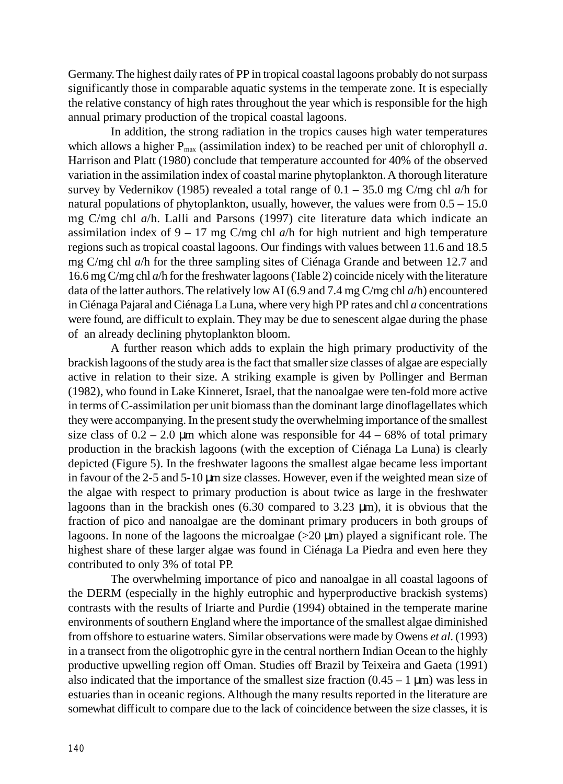Germany. The highest daily rates of PP in tropical coastal lagoons probably do not surpass significantly those in comparable aquatic systems in the temperate zone. It is especially the relative constancy of high rates throughout the year which is responsible for the high annual primary production of the tropical coastal lagoons.

In addition, the strong radiation in the tropics causes high water temperatures which allows a higher  $P_{\text{max}}$  (assimilation index) to be reached per unit of chlorophyll a. Harrison and Platt (1980) conclude that temperature accounted for 40% of the observed variation in the assimilation index of coastal marine phytoplankton. A thorough literature survey by Vedernikov (1985) revealed a total range of 0.1 – 35.0 mg C/mg chl *a*/h for natural populations of phytoplankton, usually, however, the values were from  $0.5 - 15.0$ mg C/mg chl *a*/h. Lalli and Parsons (1997) cite literature data which indicate an assimilation index of  $9 - 17$  mg C/mg chl  $a/h$  for high nutrient and high temperature regions such as tropical coastal lagoons. Our findings with values between 11.6 and 18.5 mg C/mg chl *a*/h for the three sampling sites of Ciénaga Grande and between 12.7 and 16.6 mg C/mg chl *a*/h for the freshwater lagoons (Table 2) coincide nicely with the literature data of the latter authors. The relatively low AI (6.9 and 7.4 mg C/mg chl *a*/h) encountered in Ciénaga Pajaral and Ciénaga La Luna, where very high PP rates and chl *a* concentrations were found, are difficult to explain. They may be due to senescent algae during the phase of an already declining phytoplankton bloom.

A further reason which adds to explain the high primary productivity of the brackish lagoons of the study area is the fact that smaller size classes of algae are especially active in relation to their size. A striking example is given by Pollinger and Berman (1982), who found in Lake Kinneret, Israel, that the nanoalgae were ten-fold more active in terms of C-assimilation per unit biomass than the dominant large dinoflagellates which they were accompanying. In the present study the overwhelming importance of the smallest size class of  $0.2 - 2.0 \mu m$  which alone was responsible for  $44 - 68\%$  of total primary production in the brackish lagoons (with the exception of Ciénaga La Luna) is clearly depicted (Figure 5). In the freshwater lagoons the smallest algae became less important in favour of the 2-5 and 5-10 µm size classes. However, even if the weighted mean size of the algae with respect to primary production is about twice as large in the freshwater lagoons than in the brackish ones (6.30 compared to 3.23 µm), it is obvious that the fraction of pico and nanoalgae are the dominant primary producers in both groups of lagoons. In none of the lagoons the microalgae (>20 µm) played a significant role. The highest share of these larger algae was found in Ciénaga La Piedra and even here they contributed to only 3% of total PP.

The overwhelming importance of pico and nanoalgae in all coastal lagoons of the DERM (especially in the highly eutrophic and hyperproductive brackish systems) contrasts with the results of Iriarte and Purdie (1994) obtained in the temperate marine environments of southern England where the importance of the smallest algae diminished from offshore to estuarine waters. Similar observations were made by Owens *et al*. (1993) in a transect from the oligotrophic gyre in the central northern Indian Ocean to the highly productive upwelling region off Oman. Studies off Brazil by Teixeira and Gaeta (1991) also indicated that the importance of the smallest size fraction  $(0.45 - 1 \,\mu\text{m})$  was less in estuaries than in oceanic regions. Although the many results reported in the literature are somewhat difficult to compare due to the lack of coincidence between the size classes, it is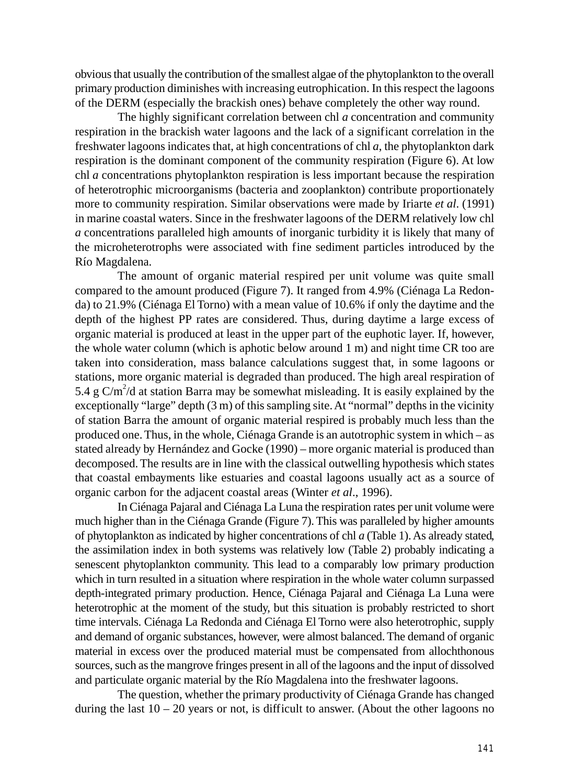obvious that usually the contribution of the smallest algae of the phytoplankton to the overall primary production diminishes with increasing eutrophication. In this respect the lagoons of the DERM (especially the brackish ones) behave completely the other way round.

The highly significant correlation between chl *a* concentration and community respiration in the brackish water lagoons and the lack of a significant correlation in the freshwater lagoons indicates that, at high concentrations of chl *a*, the phytoplankton dark respiration is the dominant component of the community respiration (Figure 6). At low chl *a* concentrations phytoplankton respiration is less important because the respiration of heterotrophic microorganisms (bacteria and zooplankton) contribute proportionately more to community respiration. Similar observations were made by Iriarte *et al*. (1991) in marine coastal waters. Since in the freshwater lagoons of the DERM relatively low chl *a* concentrations paralleled high amounts of inorganic turbidity it is likely that many of the microheterotrophs were associated with fine sediment particles introduced by the Río Magdalena.

The amount of organic material respired per unit volume was quite small compared to the amount produced (Figure 7). It ranged from 4.9% (Ciénaga La Redonda) to 21.9% (Ciénaga El Torno) with a mean value of 10.6% if only the daytime and the depth of the highest PP rates are considered. Thus, during daytime a large excess of organic material is produced at least in the upper part of the euphotic layer. If, however, the whole water column (which is aphotic below around 1 m) and night time CR too are taken into consideration, mass balance calculations suggest that, in some lagoons or stations, more organic material is degraded than produced. The high areal respiration of 5.4 g  $C/m^2/d$  at station Barra may be somewhat misleading. It is easily explained by the exceptionally "large" depth (3 m) of this sampling site. At "normal" depths in the vicinity of station Barra the amount of organic material respired is probably much less than the produced one. Thus, in the whole, Ciénaga Grande is an autotrophic system in which – as stated already by Hernández and Gocke (1990) – more organic material is produced than decomposed. The results are in line with the classical outwelling hypothesis which states that coastal embayments like estuaries and coastal lagoons usually act as a source of organic carbon for the adjacent coastal areas (Winter *et al*., 1996).

In Ciénaga Pajaral and Ciénaga La Luna the respiration rates per unit volume were much higher than in the Ciénaga Grande (Figure 7). This was paralleled by higher amounts of phytoplankton as indicated by higher concentrations of chl *a* (Table 1). As already stated, the assimilation index in both systems was relatively low (Table 2) probably indicating a senescent phytoplankton community. This lead to a comparably low primary production which in turn resulted in a situation where respiration in the whole water column surpassed depth-integrated primary production. Hence, Ciénaga Pajaral and Ciénaga La Luna were heterotrophic at the moment of the study, but this situation is probably restricted to short time intervals. Ciénaga La Redonda and Ciénaga El Torno were also heterotrophic, supply and demand of organic substances, however, were almost balanced. The demand of organic material in excess over the produced material must be compensated from allochthonous sources, such as the mangrove fringes present in all of the lagoons and the input of dissolved and particulate organic material by the Río Magdalena into the freshwater lagoons.

The question, whether the primary productivity of Ciénaga Grande has changed during the last  $10 - 20$  years or not, is difficult to answer. (About the other lagoons no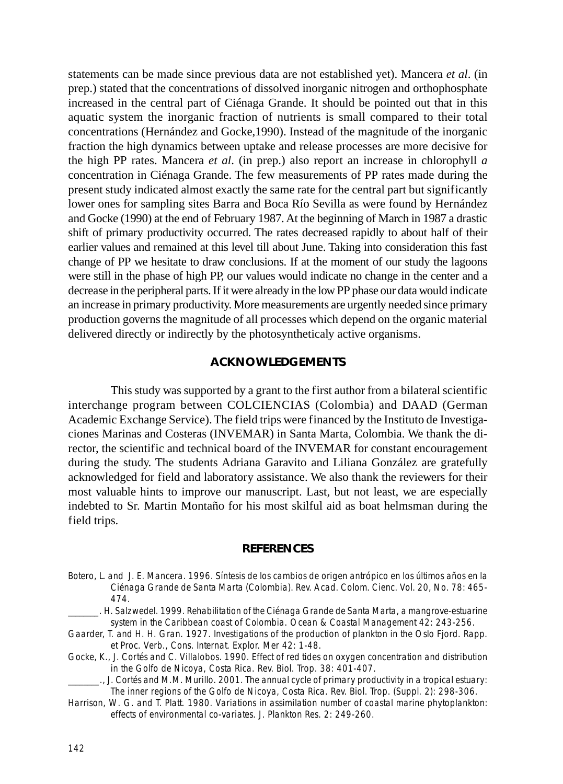statements can be made since previous data are not established yet). Mancera *et al*. (in prep.) stated that the concentrations of dissolved inorganic nitrogen and orthophosphate increased in the central part of Ciénaga Grande. It should be pointed out that in this aquatic system the inorganic fraction of nutrients is small compared to their total concentrations (Hernández and Gocke,1990). Instead of the magnitude of the inorganic fraction the high dynamics between uptake and release processes are more decisive for the high PP rates. Mancera *et al*. (in prep.) also report an increase in chlorophyll *a* concentration in Ciénaga Grande. The few measurements of PP rates made during the present study indicated almost exactly the same rate for the central part but significantly lower ones for sampling sites Barra and Boca Río Sevilla as were found by Hernández and Gocke (1990) at the end of February 1987. At the beginning of March in 1987 a drastic shift of primary productivity occurred. The rates decreased rapidly to about half of their earlier values and remained at this level till about June. Taking into consideration this fast change of PP we hesitate to draw conclusions. If at the moment of our study the lagoons were still in the phase of high PP, our values would indicate no change in the center and a decrease in the peripheral parts. If it were already in the low PP phase our data would indicate an increase in primary productivity. More measurements are urgently needed since primary production governs the magnitude of all processes which depend on the organic material delivered directly or indirectly by the photosyntheticaly active organisms.

#### **ACKNOWLEDGEMENTS**

This study was supported by a grant to the first author from a bilateral scientific interchange program between COLCIENCIAS (Colombia) and DAAD (German Academic Exchange Service). The field trips were financed by the Instituto de Investigaciones Marinas and Costeras (INVEMAR) in Santa Marta, Colombia. We thank the director, the scientific and technical board of the INVEMAR for constant encouragement during the study. The students Adriana Garavito and Liliana González are gratefully acknowledged for field and laboratory assistance. We also thank the reviewers for their most valuable hints to improve our manuscript. Last, but not least, we are especially indebted to Sr. Martin Montaño for his most skilful aid as boat helmsman during the field trips.

#### **REFERENCES**

- Botero, L. and J. E. Mancera. 1996. Síntesis de los cambios de origen antrópico en los últimos años en la Ciénaga Grande de Santa Marta (Colombia). Rev. Acad. Colom. Cienc. Vol. 20, No. 78: 465- 474.
- \_\_\_\_\_\_\_\_. H. Salzwedel. 1999. Rehabilitation of the Ciénaga Grande de Santa Marta, a mangrove-estuarine system in the Caribbean coast of Colombia. Ocean & Coastal Management 42: 243-256.
- Gaarder, T. and H. H. Gran. 1927. Investigations of the production of plankton in the Oslo Fjord. Rapp. et Proc. Verb., Cons. Internat. Explor. Mer 42: 1-48.
- Gocke, K., J. Cortés and C. Villalobos. 1990. Effect of red tides on oxygen concentration and distribution in the Golfo de Nicoya, Costa Rica. Rev. Biol. Trop. 38: 401-407.
- \_\_\_\_\_\_\_\_., J. Cortés and M.M. Murillo. 2001. The annual cycle of primary productivity in a tropical estuary: The inner regions of the Golfo de Nicoya, Costa Rica. Rev. Biol. Trop. (Suppl. 2): 298-306.
- Harrison, W. G. and T. Platt. 1980. Variations in assimilation number of coastal marine phytoplankton: effects of environmental co-variates. J. Plankton Res. 2: 249-260.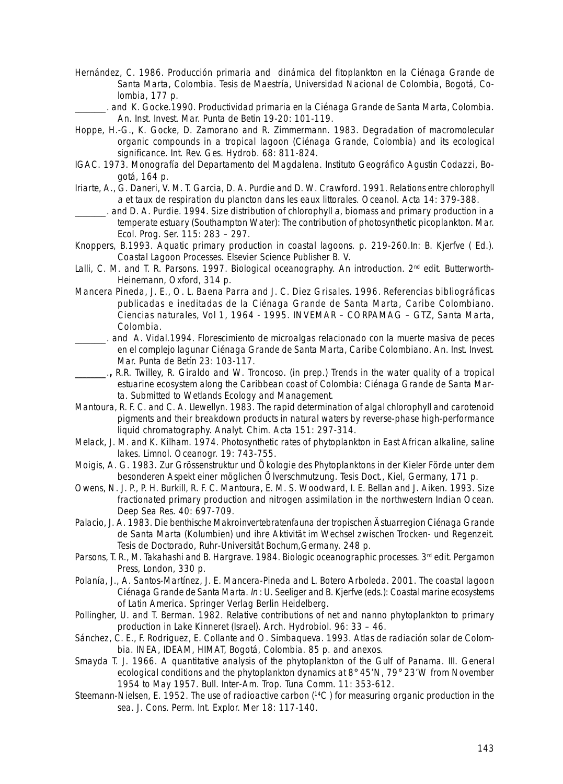- Hernández, C. 1986. Producción primaria and dinámica del fitoplankton en la Ciénaga Grande de Santa Marta, Colombia. Tesis de Maestría, Universidad Nacional de Colombia, Bogotá, Colombia, 177 p.
- \_\_\_\_\_\_\_\_. and K. Gocke.1990. Productividad primaria en la Ciénaga Grande de Santa Marta, Colombia. An. Inst. Invest. Mar. Punta de Betin 19-20: 101-119.
- Hoppe, H.-G., K. Gocke, D. Zamorano and R. Zimmermann. 1983. Degradation of macromolecular organic compounds in a tropical lagoon (Ciénaga Grande, Colombia) and its ecological significance. Int. Rev. Ges. Hydrob. 68: 811-824.
- IGAC. 1973. Monografía del Departamento del Magdalena. Instituto Geográfico Agustin Codazzi, Bogotá, 164 p.
- Iriarte, A., G. Daneri, V. M. T. Garcia, D. A. Purdie and D. W. Crawford. 1991. Relations entre chlorophyll a et taux de respiration du plancton dans les eaux littorales. Oceanol. Acta 14: 379-388.
- and D. A. Purdie. 1994. Size distribution of chlorophyll a, biomass and primary production in a temperate estuary (Southampton Water): The contribution of photosynthetic picoplankton. Mar. Ecol. Prog. Ser. 115: 283 – 297.
- Knoppers, B.1993. Aquatic primary production in coastal lagoons. p. 219-260.In: B. Kjerfve ( Ed.). Coastal Lagoon Processes. Elsevier Science Publisher B. V.
- Lalli, C. M. and T. R. Parsons. 1997. Biological oceanography. An introduction. 2<sup>nd</sup> edit. Butterworth-Heinemann, Oxford, 314 p.
- Mancera Pineda, J. E., O. L. Baena Parra and J. C. Diez Grisales. 1996. Referencias bibliográficas publicadas e ineditadas de la Ciénaga Grande de Santa Marta, Caribe Colombiano. Ciencias naturales, Vol 1, 1964 - 1995. INVEMAR – CORPAMAG – GTZ, Santa Marta, Colombia.
- \_\_\_\_\_\_\_\_. and A. Vidal.1994. Florescimiento de microalgas relacionado con la muerte masiva de peces en el complejo lagunar Ciénaga Grande de Santa Marta, Caribe Colombiano. An. Inst. Invest. Mar. Punta de Betín 23: 103-117.
- \_\_\_\_\_\_\_\_.**,** R.R. Twilley, R. Giraldo and W. Troncoso. (in prep.) Trends in the water quality of a tropical estuarine ecosystem along the Caribbean coast of Colombia: Ciénaga Grande de Santa Marta. Submitted to Wetlands Ecology and Management.
- Mantoura, R. F. C. and C. A. Llewellyn. 1983. The rapid determination of algal chlorophyll and carotenoid pigments and their breakdown products in natural waters by reverse-phase high-performance liquid chromatography. Analyt. Chim. Acta 151: 297-314.
- Melack, J. M. and K. Kilham. 1974. Photosynthetic rates of phytoplankton in East African alkaline, saline lakes. Limnol. Oceanogr. 19: 743-755.
- Moigis, A. G. 1983. Zur Grössenstruktur und Ökologie des Phytoplanktons in der Kieler Förde unter dem besonderen Aspekt einer möglichen Ölverschmutzung. Tesis Doct., Kiel, Germany, 171 p.
- Owens, N. J. P., P. H. Burkill, R. F. C. Mantoura, E. M. S. Woodward, I. E. Bellan and J. Aiken. 1993. Size fractionated primary production and nitrogen assimilation in the northwestern Indian Ocean. Deep Sea Res. 40: 697-709.
- Palacio, J. A. 1983. Die benthische Makroinvertebratenfauna der tropischen Ästuarregion Ciénaga Grande de Santa Marta (Kolumbien) und ihre Aktivität im Wechsel zwischen Trocken- und Regenzeit. Tesis de Doctorado, Ruhr-Universität Bochum,Germany. 248 p.
- Parsons, T. R., M. Takahashi and B. Hargrave. 1984. Biologic oceanographic processes. 3<sup>rd</sup> edit. Pergamon Press, London, 330 p.
- Polanía, J., A. Santos-Martínez, J. E. Mancera-Pineda and L. Botero Arboleda. 2001. The coastal lagoon Ciénaga Grande de Santa Marta. In : U. Seeliger and B. Kjerfve (eds.): Coastal marine ecosystems of Latin America. Springer Verlag Berlin Heidelberg.
- Pollingher, U. and T. Berman. 1982. Relative contributions of net and nanno phytoplankton to primary production in Lake Kinneret (Israel). Arch. Hydrobiol. 96: 33 – 46.
- Sánchez, C. E., F. Rodriguez, E. Collante and O. Simbaqueva. 1993. Atlas de radiación solar de Colombia. INEA, IDEAM, HIMAT, Bogotá, Colombia. 85 p. and anexos.
- Smayda T. J. 1966. A quantitative analysis of the phytoplankton of the Gulf of Panama. III. General ecological conditions and the phytoplankton dynamics at 8° 45'N, 79° 23'W from November 1954 to May 1957. Bull. Inter-Am. Trop. Tuna Comm. 11: 353-612.
- Steemann-Nielsen, E. 1952. The use of radioactive carbon (<sup>14</sup>C) for measuring organic production in the sea. J. Cons. Perm. Int. Explor. Mer 18: 117-140.